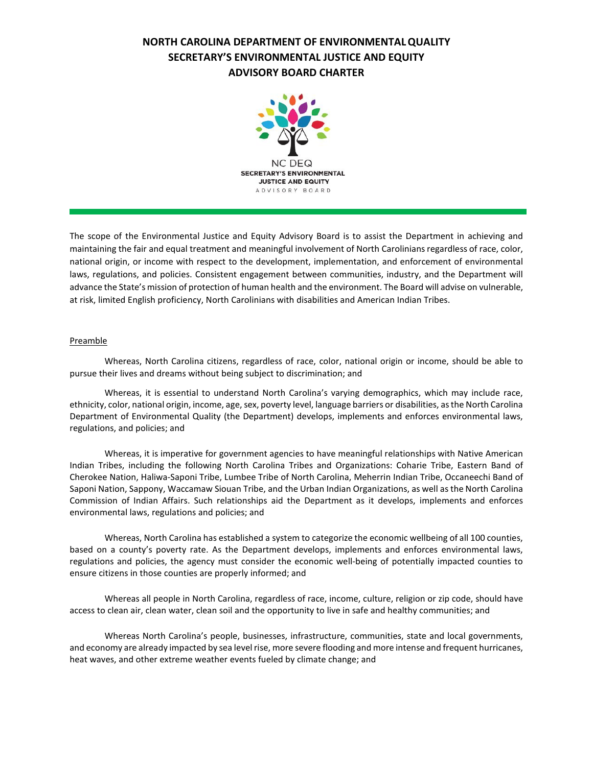# **NORTH CAROLINA DEPARTMENT OF ENVIRONMENTALQUALITY SECRETARY'S ENVIRONMENTAL JUSTICE AND EQUITY ADVISORY BOARD CHARTER**



The scope of the Environmental Justice and Equity Advisory Board is to assist the Department in achieving and maintaining the fair and equal treatment and meaningful involvement of North Carolinians regardless of race, color, national origin, or income with respect to the development, implementation, and enforcement of environmental laws, regulations, and policies. Consistent engagement between communities, industry, and the Department will advance the State's mission of protection of human health and the environment. The Board will advise on vulnerable, at risk, limited English proficiency, North Carolinians with disabilities and American Indian Tribes.

## **Preamble**

Whereas, North Carolina citizens, regardless of race, color, national origin or income, should be able to pursue their lives and dreams without being subject to discrimination; and

Whereas, it is essential to understand North Carolina's varying demographics, which may include race, ethnicity, color, national origin, income, age, sex, poverty level, language barriers or disabilities, as the North Carolina Department of Environmental Quality (the Department) develops, implements and enforces environmental laws, regulations, and policies; and

Whereas, it is imperative for government agencies to have meaningful relationships with Native American Indian Tribes, including the following North Carolina Tribes and Organizations: Coharie Tribe, Eastern Band of Cherokee Nation, Haliwa-Saponi Tribe, Lumbee Tribe of North Carolina, Meherrin Indian Tribe, Occaneechi Band of Saponi Nation, Sappony, Waccamaw Siouan Tribe, and the Urban Indian Organizations, as well as the North Carolina Commission of Indian Affairs. Such relationships aid the Department as it develops, implements and enforces environmental laws, regulations and policies; and

Whereas, North Carolina has established a system to categorize the economic wellbeing of all 100 counties, based on a county's poverty rate. As the Department develops, implements and enforces environmental laws, regulations and policies, the agency must consider the economic well-being of potentially impacted counties to ensure citizens in those counties are properly informed; and

Whereas all people in North Carolina, regardless of race, income, culture, religion or zip code, should have access to clean air, clean water, clean soil and the opportunity to live in safe and healthy communities; and

Whereas North Carolina's people, businesses, infrastructure, communities, state and local governments, and economy are already impacted by sea level rise, more severe flooding and more intense and frequent hurricanes, heat waves, and other extreme weather events fueled by climate change; and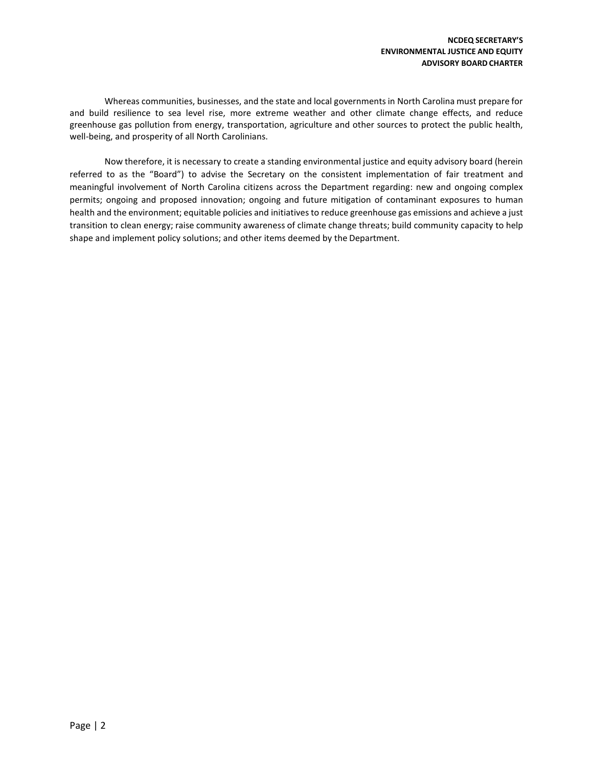Whereas communities, businesses, and the state and local governmentsin North Carolina must prepare for and build resilience to sea level rise, more extreme weather and other climate change effects, and reduce greenhouse gas pollution from energy, transportation, agriculture and other sources to protect the public health, well-being, and prosperity of all North Carolinians.

Now therefore, it is necessary to create a standing environmental justice and equity advisory board (herein referred to as the "Board") to advise the Secretary on the consistent implementation of fair treatment and meaningful involvement of North Carolina citizens across the Department regarding: new and ongoing complex permits; ongoing and proposed innovation; ongoing and future mitigation of contaminant exposures to human health and the environment; equitable policies and initiatives to reduce greenhouse gas emissions and achieve a just transition to clean energy; raise community awareness of climate change threats; build community capacity to help shape and implement policy solutions; and other items deemed by the Department.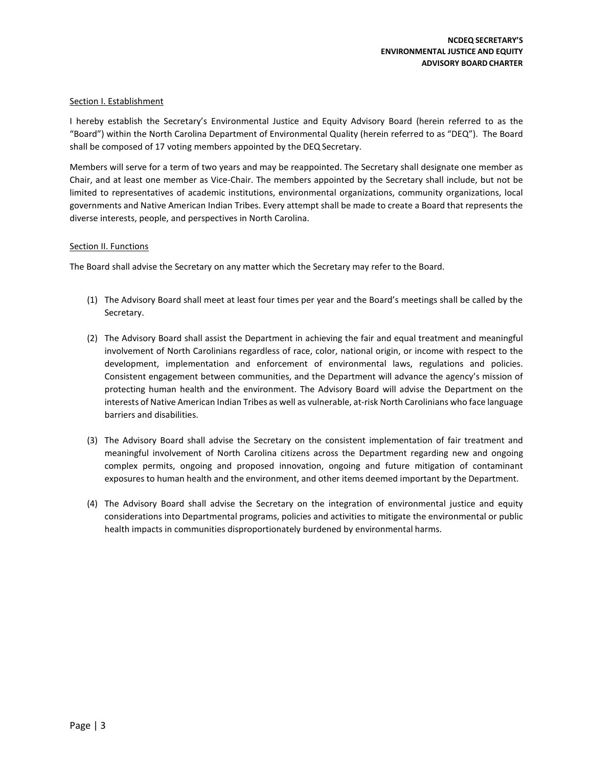## Section I. Establishment

I hereby establish the Secretary's Environmental Justice and Equity Advisory Board (herein referred to as the "Board") within the North Carolina Department of Environmental Quality (herein referred to as "DEQ"). The Board shall be composed of 17 voting members appointed by the DEQ Secretary.

Members will serve for a term of two years and may be reappointed. The Secretary shall designate one member as Chair, and at least one member as Vice-Chair. The members appointed by the Secretary shall include, but not be limited to representatives of academic institutions, environmental organizations, community organizations, local governments and Native American Indian Tribes. Every attempt shall be made to create a Board that represents the diverse interests, people, and perspectives in North Carolina.

### Section II. Functions

The Board shall advise the Secretary on any matter which the Secretary may refer to the Board.

- (1) The Advisory Board shall meet at least four times per year and the Board's meetings shall be called by the Secretary.
- (2) The Advisory Board shall assist the Department in achieving the fair and equal treatment and meaningful involvement of North Carolinians regardless of race, color, national origin, or income with respect to the development, implementation and enforcement of environmental laws, regulations and policies. Consistent engagement between communities, and the Department will advance the agency's mission of protecting human health and the environment. The Advisory Board will advise the Department on the interests of Native American Indian Tribes as well as vulnerable, at-risk North Carolinians who face language barriers and disabilities.
- (3) The Advisory Board shall advise the Secretary on the consistent implementation of fair treatment and meaningful involvement of North Carolina citizens across the Department regarding new and ongoing complex permits, ongoing and proposed innovation, ongoing and future mitigation of contaminant exposures to human health and the environment, and other items deemed important by the Department.
- (4) The Advisory Board shall advise the Secretary on the integration of environmental justice and equity considerations into Departmental programs, policies and activities to mitigate the environmental or public health impacts in communities disproportionately burdened by environmental harms.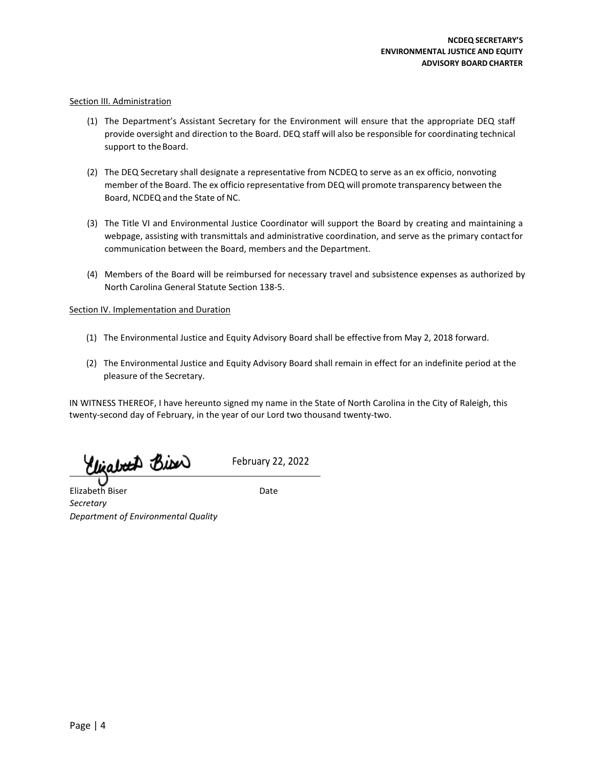### Section III. Administration

- (1) The Department's Assistant Secretary for the Environment will ensure that the appropriate DEQ staff provide oversight and direction to the Board. DEQ staff will also be responsible for coordinating technical support to the Board.
- (2) The DEQ Secretary shall designate a representative from NCDEQ to serve as an ex officio, nonvoting member of the Board. The ex officio representative from DEQ will promote transparency between the Board, NCDEQ and the State of NC.
- (3) The Title VI and Environmental Justice Coordinator will support the Board by creating and maintaining a webpage, assisting with transmittals and administrative coordination, and serve as the primary contactfor communication between the Board, members and the Department.
- (4) Members of the Board will be reimbursed for necessary travel and subsistence expenses as authorized by North Carolina General Statute Section 138-5.

### **Section IV. Implementation and Duration**

- (1) The Environmental Justice and Equity Advisory Board shall be effective from May 2, 2018 forward.
- (2) The Environmental Justice and Equity Advisory Board shall remain in effect for an indefinite period at the pleasure of the Secretary.

IN WITNESS THEREOF, I have hereunto signed my name in the State of North Carolina in the City of Raleigh, this twenty-second day of February, in the year of our Lord two thousand twenty-two.

Clizaboth Bion

February 22, 2022

Elizabeth Biser Date *Secretary Department of Environmental Quality*